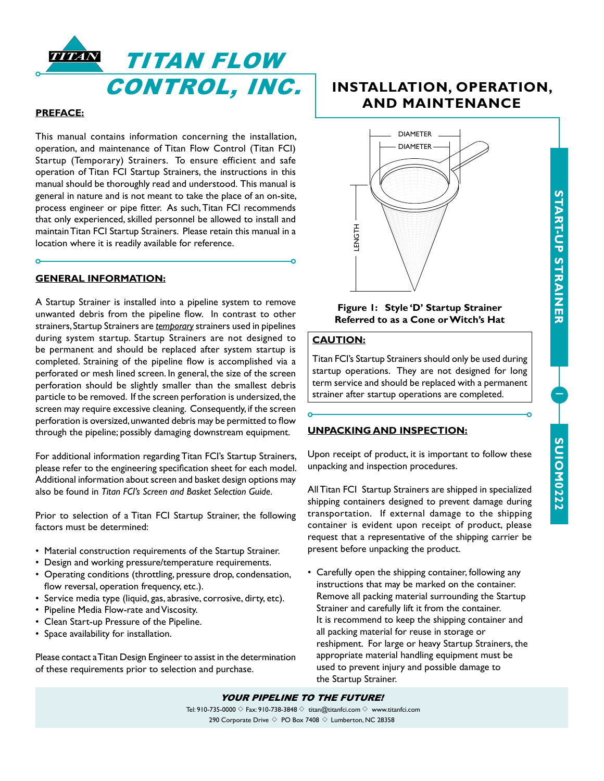



## **PREFACE:**

This manual contains information concerning the installation, operation, and maintenance of Titan Flow Control (Titan FCI) Startup (Temporary) Strainers. To ensure efficient and safe operation of Titan FCI Startup Strainers, the instructions in this manual should be thoroughly read and understood. This manual is general in nature and is not meant to take the place of an on-site, process engineer or pipe fitter. As such, Titan FCI recommends that only experienced, skilled personnel be allowed to install and maintain Titan FCI Startup Strainers. Please retain this manual in a location where it is readily available for reference.

## **GENERAL INFORMATION:**

A Startup Strainer is installed into a pipeline system to remove unwanted debris from the pipeline flow. In contrast to other strainers, Startup Strainers are *temporary* strainers used in pipelines during system startup. Startup Strainers are not designed to be permanent and should be replaced after system startup is completed. Straining of the pipeline flow is accomplished via a perforated or mesh lined screen. In general, the size of the screen perforation should be slightly smaller than the smallest debris particle to be removed. If the screen perforation is undersized, the screen may require excessive cleaning. Consequently, if the screen perforation is oversized, unwanted debris may be permitted to flow through the pipeline; possibly damaging downstream equipment.

For additional information regarding Titan FCI's Startup Strainers, please refer to the engineering specification sheet for each model. Additional information about screen and basket design options may also be found in *Titan FCI's Screen and Basket Selection Guide*.

Prior to selection of a Titan FCI Startup Strainer, the following factors must be determined:

- Material construction requirements of the Startup Strainer.
- Design and working pressure/temperature requirements.
- Operating conditions (throttling, pressure drop, condensation, flow reversal, operation frequency, etc.).
- Service media type (liquid, gas, abrasive, corrosive, dirty, etc).
- Pipeline Media Flow-rate and Viscosity.
- Clean Start-up Pressure of the Pipeline.
- Space availability for installation.

Please contact a Titan Design Engineer to assist in the determination of these requirements prior to selection and purchase.

# **INSTALLATION, OPERATION, AND MAINTENANCE**



## **Figure 1: Style 'D' Startup Strainer Referred to as a Cone or Witch's Hat**

## **CAUTION:**

Titan FCI's Startup Strainers should only be used during startup operations. They are not designed for long term service and should be replaced with a permanent strainer after startup operations are completed.

## **UNPACKING AND INSPECTION:**

Upon receipt of product, it is important to follow these unpacking and inspection procedures.

All Titan FCI Startup Strainers are shipped in specialized shipping containers designed to prevent damage during transportation. If external damage to the shipping container is evident upon receipt of product, please request that a representative of the shipping carrier be present before unpacking the product.

• Carefully open the shipping container, following any instructions that may be marked on the container. Remove all packing material surrounding the Startup Strainer and carefully lift it from the container. It is recommend to keep the shipping container and all packing material for reuse in storage or reshipment. For large or heavy Startup Strainers, the appropriate material handling equipment must be used to prevent injury and possible damage to the Startup Strainer.

## YOUR PIPELINE TO THE FUTURE!

Tel: 910-735-0000  $\Diamond$  Fax: 910-738-3848  $\Diamond$  titan@titanfci.com  $\Diamond$  www.titanfci.com 290 Corporate Drive  $\diamond$  PO Box 7408  $\diamond$  Lumberton, NC 28358

1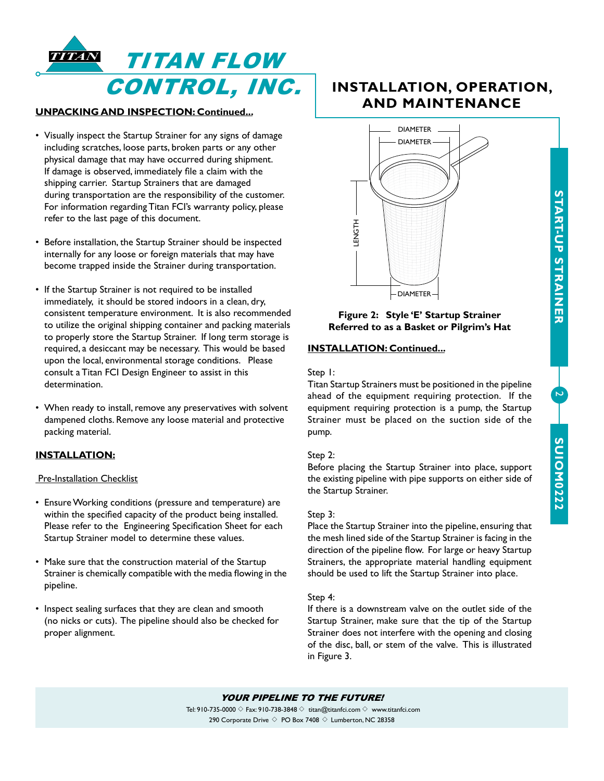

## **UNPACKING AND INSPECTION: Continued...**

- Visually inspect the Startup Strainer for any signs of damage including scratches, loose parts, broken parts or any other physical damage that may have occurred during shipment. If damage is observed, immediately file a claim with the shipping carrier. Startup Strainers that are damaged during transportation are the responsibility of the customer. For information regarding Titan FCI's warranty policy, please refer to the last page of this document.
- Before installation, the Startup Strainer should be inspected internally for any loose or foreign materials that may have become trapped inside the Strainer during transportation.
- If the Startup Strainer is not required to be installed immediately, it should be stored indoors in a clean, dry, consistent temperature environment. It is also recommended to utilize the original shipping container and packing materials to properly store the Startup Strainer. If long term storage is required, a desiccant may be necessary. This would be based upon the local, environmental storage conditions. Please consult a Titan FCI Design Engineer to assist in this determination.
- When ready to install, remove any preservatives with solvent dampened cloths. Remove any loose material and protective packing material.

## **INSTALLATION:**

## Pre-Installation Checklist

- Ensure Working conditions (pressure and temperature) are within the specified capacity of the product being installed. Please refer to the Engineering Specification Sheet for each Startup Strainer model to determine these values.
- Make sure that the construction material of the Startup Strainer is chemically compatible with the media flowing in the pipeline.
- Inspect sealing surfaces that they are clean and smooth (no nicks or cuts). The pipeline should also be checked for proper alignment.

# **INSTALLATION, OPERATION, AND MAINTENANCE**



## **Figure 2: Style 'E' Startup Strainer Referred to as a Basket or Pilgrim's Hat**

## **INSTALLATION: Continued...**

## Step 1:

Titan Startup Strainers must be positioned in the pipeline ahead of the equipment requiring protection. If the equipment requiring protection is a pump, the Startup Strainer must be placed on the suction side of the pump.

## Step 2:

Before placing the Startup Strainer into place, support the existing pipeline with pipe supports on either side of the Startup Strainer.

## Step 3:

Place the Startup Strainer into the pipeline, ensuring that the mesh lined side of the Startup Strainer is facing in the direction of the pipeline flow. For large or heavy Startup Strainers, the appropriate material handling equipment should be used to lift the Startup Strainer into place.

## Step 4:

If there is a downstream valve on the outlet side of the Startup Strainer, make sure that the tip of the Startup Strainer does not interfere with the opening and closing of the disc, ball, or stem of the valve. This is illustrated in Figure 3.

# **START-UP STRAINER START-UP STRAINER**

 $\mathbf{z}$ 

YOUR PIPELINE TO THE FUTURE!

Tel: 910-735-0000  $\Diamond$  Fax: 910-738-3848  $\Diamond$  titan@titanfci.com  $\Diamond$  www.titanfci.com 290 Corporate Drive  $\diamond$  PO Box 7408  $\diamond$  Lumberton, NC 28358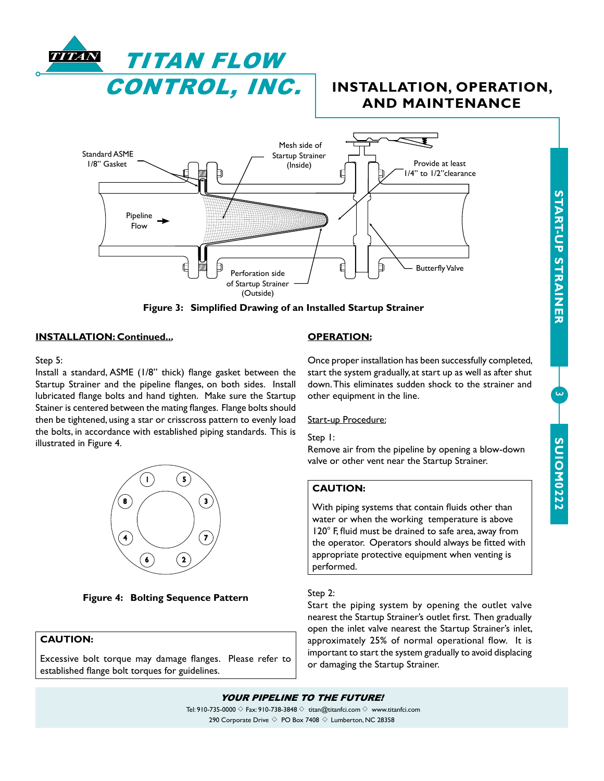

# **INSTALLATION, OPERATION, AND MAINTENANCE**



**Figure 3: Simplified Drawing of an Installed Startup Strainer**

## **INSTALLATION: Continued...**

## Step 5:

Install a standard, ASME (1/8" thick) flange gasket between the Startup Strainer and the pipeline flanges, on both sides. Install lubricated flange bolts and hand tighten. Make sure the Startup Stainer is centered between the mating flanges. Flange bolts should then be tightened, using a star or crisscross pattern to evenly load the bolts, in accordance with established piping standards. This is illustrated in Figure 4.



**Figure 4: Bolting Sequence Pattern**

## **CAUTION:**

Excessive bolt torque may damage flanges. Please refer to established flange bolt torques for guidelines.

## **OPERATION:**

Once proper installation has been successfully completed, start the system gradually, at start up as well as after shut down. This eliminates sudden shock to the strainer and other equipment in the line.

## Start-up Procedure:

## Step 1:

Remove air from the pipeline by opening a blow-down valve or other vent near the Startup Strainer.

## **CAUTION:**

With piping systems that contain fluids other than water or when the working temperature is above 120° F, fluid must be drained to safe area, away from the operator. Operators should always be fitted with appropriate protective equipment when venting is performed.

## Step 2:

Start the piping system by opening the outlet valve nearest the Startup Strainer's outlet first. Then gradually open the inlet valve nearest the Startup Strainer's inlet, approximately 25% of normal operational flow. It is important to start the system gradually to avoid displacing or damaging the Startup Strainer.

**START-UP STRAINER**

**START-UP STRAINER** 

 $\overline{\mathcal{L}}$ 

YOUR PIPELINE TO THE FUTURE!

Tel: 910-735-0000  $\Diamond$  Fax: 910-738-3848  $\Diamond$  titan@titanfci.com  $\Diamond$  www.titanfci.com 290 Corporate Drive  $\diamond$  PO Box 7408  $\diamond$  Lumberton, NC 28358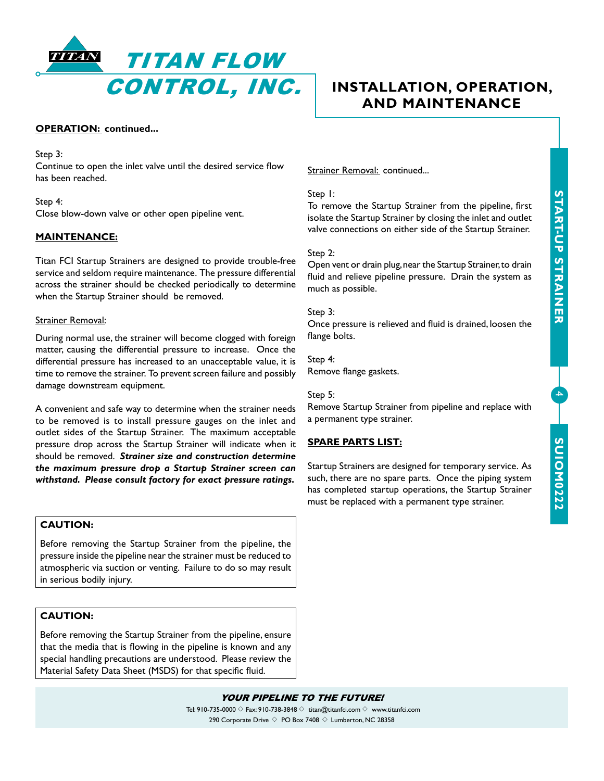

## **OPERATION: continued...**

Step 3:

Continue to open the inlet valve until the desired service flow has been reached.

Step 4: Close blow-down valve or other open pipeline vent.

## **MAINTENANCE:**

Titan FCI Startup Strainers are designed to provide trouble-free service and seldom require maintenance. The pressure differential across the strainer should be checked periodically to determine when the Startup Strainer should be removed.

## Strainer Removal:

During normal use, the strainer will become clogged with foreign matter, causing the differential pressure to increase. Once the differential pressure has increased to an unacceptable value, it is time to remove the strainer. To prevent screen failure and possibly damage downstream equipment.

A convenient and safe way to determine when the strainer needs to be removed is to install pressure gauges on the inlet and outlet sides of the Startup Strainer. The maximum acceptable pressure drop across the Startup Strainer will indicate when it should be removed. *Strainer size and construction determine the maximum pressure drop a Startup Strainer screen can withstand. Please consult factory for exact pressure ratings.*

## **CAUTION:**

Before removing the Startup Strainer from the pipeline, the pressure inside the pipeline near the strainer must be reduced to atmospheric via suction or venting. Failure to do so may result in serious bodily injury.

## **CAUTION:**

Before removing the Startup Strainer from the pipeline, ensure that the media that is flowing in the pipeline is known and any special handling precautions are understood. Please review the Material Safety Data Sheet (MSDS) for that specific fluid.

# **INSTALLATION, OPERATION, AND MAINTENANCE**

Strainer Removal: continued...

## Step 1:

To remove the Startup Strainer from the pipeline, first isolate the Startup Strainer by closing the inlet and outlet valve connections on either side of the Startup Strainer.

## Step 2:

Open vent or drain plug, near the Startup Strainer, to drain fluid and relieve pipeline pressure. Drain the system as much as possible.

## Step 3:

Once pressure is relieved and fluid is drained, loosen the flange bolts.

Step 4: Remove flange gaskets.

#### Step 5:

Remove Startup Strainer from pipeline and replace with a permanent type strainer.

## **SPARE PARTS LIST:**

Startup Strainers are designed for temporary service. As such, there are no spare parts. Once the piping system has completed startup operations, the Startup Strainer must be replaced with a permanent type strainer.

4